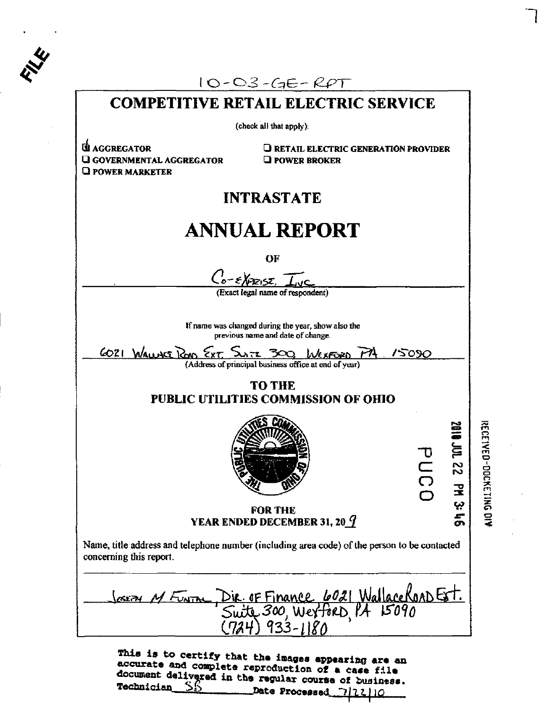|                                                                                     | $10-03-GE-RT$                                                                                           |      |
|-------------------------------------------------------------------------------------|---------------------------------------------------------------------------------------------------------|------|
|                                                                                     | <b>COMPETITIVE RETAIL ELECTRIC SERVICE</b>                                                              |      |
|                                                                                     | (check all that apply):                                                                                 |      |
| <b>EL AGGREGATOR</b><br><b>Q GOVERNMENTAL AGGREGATOR</b><br><b>Q POWER MARKETER</b> | <b>U RETAIL ELECTRIC GENERATION PROVIDER</b><br><b>THE POWER BROKER</b>                                 |      |
|                                                                                     | <b>INTRASTATE</b>                                                                                       |      |
|                                                                                     | <b>ANNUAL REPORT</b>                                                                                    |      |
|                                                                                     | O <sub>F</sub>                                                                                          |      |
|                                                                                     | $C_0$ -EXERISE, INC                                                                                     |      |
|                                                                                     | (Exact legal name of respondent)                                                                        |      |
|                                                                                     | If name was changed during the year, show also the                                                      |      |
|                                                                                     | previous name and date of change.                                                                       |      |
| <u>6021 WALLACE ROOD EXT. SUITE 300 WEXFORD PA</u>                                  | 15090<br>(Address of principal business office at end of year)                                          |      |
|                                                                                     | <b>TO THE</b>                                                                                           |      |
|                                                                                     | PUBLIC UTILITIES COMMISSION OF OHIO                                                                     |      |
|                                                                                     |                                                                                                         |      |
|                                                                                     |                                                                                                         |      |
|                                                                                     |                                                                                                         | PUCO |
|                                                                                     |                                                                                                         |      |
|                                                                                     | <b>FOR THE</b>                                                                                          |      |
|                                                                                     | <b>YEAR ENDED DECEMBER 31, 20 <math>\frac{q}{l}</math></b>                                              |      |
| concerning this report.                                                             | Name, title address and telephone number (including area code) of the person to be contacted            |      |
|                                                                                     |                                                                                                         |      |
|                                                                                     | <del>ENTAL Die OF Finance 6021</del> WallaceROAD Est.<br>Suite 300, Werford, PA 15090<br>(724) 933-1180 |      |
|                                                                                     |                                                                                                         |      |

accurate and complete reproduction of a case file document delivered in the regular course of  $\sum_{i=1}^{n}$ . Technician\_SS<sup>\*</sup> Date Processed 7|12.jin

o n **FD-DD** 3=

O • --^ ^

ب<br>– O\* 1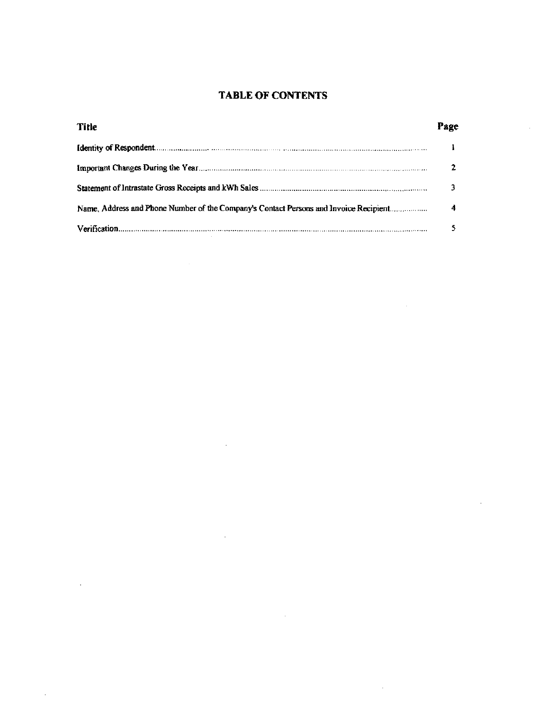# TABLE OF CONTENTS

| <b>Title</b>                                                                          | Page |
|---------------------------------------------------------------------------------------|------|
|                                                                                       |      |
|                                                                                       |      |
|                                                                                       |      |
| Name, Address and Phone Number of the Company's Contact Persons and Invoice Recipient | 4    |
|                                                                                       |      |

 $\sim 10$ 

 $\bar{z}$ 

÷.

 $\bar{z}$ 

 $\hat{\boldsymbol{\beta}}$ 

 $\ddot{\phantom{a}}$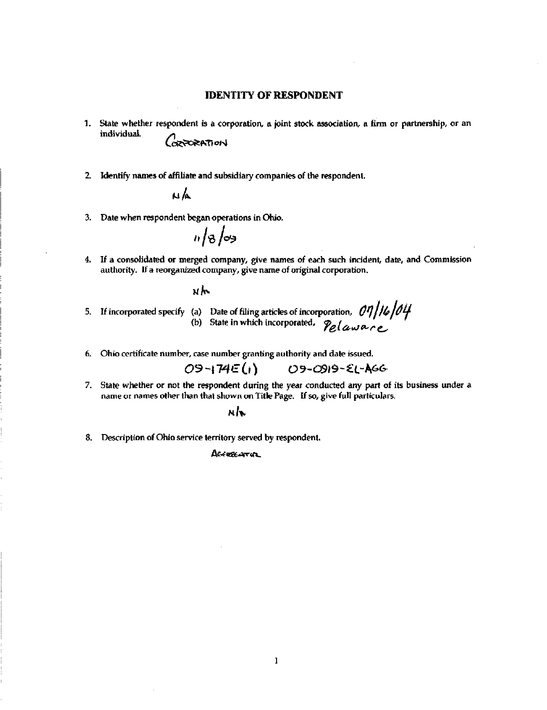#### **IDENTITY OF RESPONDENT**

- 1. State whether respondent is a corporation, a joint stock association, a firm or partnership, or an individual.<br>CORPERTION
- 2. Identify names of affiliate and subsidiary companies of the respondent.

$$
\mathbf{A} \mathbf{A}
$$

3. Date when respondent began operations in Ohio.

 $n/8/$ 

4. If a consolidated or merged company, give names of each such incident, date, and Commission authority. If a reorganized company, give name of original corporation.

 $x_{\mathcal{N}}$ 

5. If incorporated specify (a) Date of filing articles of incorporation,  $[0!]$  [0]  $\mu$ (b) State in which incorporated,  $\mathcal{D}_{\mathcal{A}}f$ 

6. Ohio certificate number, case number granting authority and date issued.

 $O9 - 174E(i)$ **09-0919-EL-AGG** 

7. State whether or not the respondent during the year conducted any part of its business under a name or names other than that shown on Title Page. If so, give full particulars.

NIX

8. Description of Ohio service territory served by respondent.

Acrescarca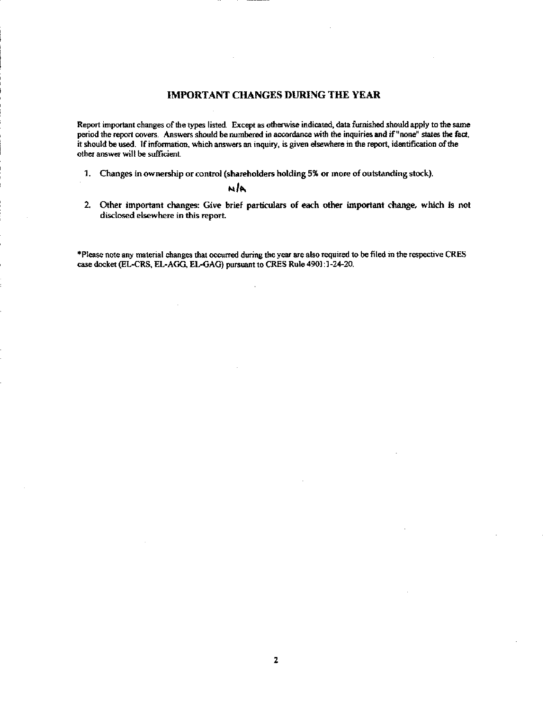# IMPORTANT CHANGES DURING THE YEAR

Report important changes of the types listed. Except as otherwise indicated, data furnished should apply to the same period the report covers. Answers should be numbered in accordance with the inquiries and if "none" states the fact, it should be used. If information, which answers an inquiry, is given elsewhere in fhe report, identification of the other answer will be sufficient.

1. Changes in ownership or control (shareholders holding 5% or more of outstanding stock).

# NA

2. Oher important changes: Give brief particulars of each other important change, which is not disclosed elsewhere in this report.

\*Please note any material changes that occurred during the year are also required to be filed in the respective CRES case docket (EL-CRS, EL-AGG, EL-GAG) pursuant to CRES Rule 4901:1 -24-20.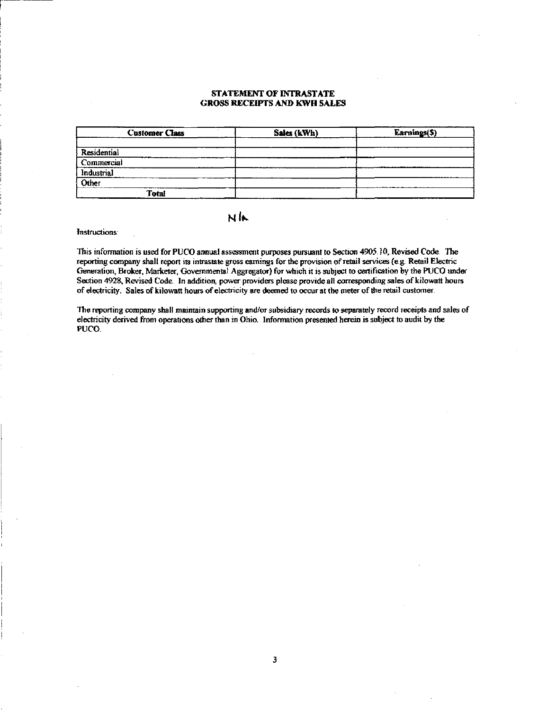#### STATEMENT OF INTRASTATE GROSS RECEIPTS AND KWH SALES

| <b>Customer Class</b> | Sales (kWh) | Earnings(\$) |
|-----------------------|-------------|--------------|
| <b>Residential</b>    |             |              |
|                       |             |              |
| Commercial            |             |              |
| Industrial            |             |              |
| Other                 |             |              |
| <b>Total</b>          |             |              |

## HIK

Instructions:

This information is used for PUCO annual assessment purposes pursuant to Section 4905.10, Revised Code. The reporting company shall report its intrastate gross earnings for the provision of retail services (e.g. Retail Electric Generation, Broker, Marketer, Govemmental Aggregator) for which it is subject to certification by the PUCO under Section 4928, Revised Code. In addition, power providers please provide all corresponding sales of kilowatt hours of electricity. Sales of kilowatt hours of electricity are deemed to occur at the meter of the retail customer.

The reporting company shall maimain supporting and/or subsidiary records to separately record receipts and sales of electricity derived from operations other than in Ohio. Information presented herein is subject to audit by the PUCO.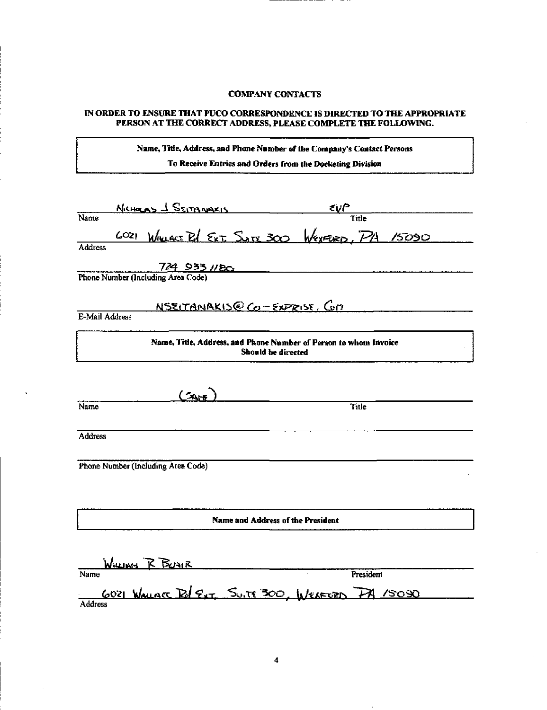# COMPANY CONTACTS

## IN ORDER TO ENSURE THAT PUCO CORRESPONDENCE IS DIRECTED TO THE APPROPRIATE PERSON AT THE CORRECT ADDRESS, PLEASE COMPLETE THE FOLLOWING.

Name, Thie, Address, and Phone Number of the Company's Contact Persons

To Receive Entries and Orders from the Docketing Division

|                            |                                    | NICHOLAS 1 SEITANIARIS                   |                                                                  |  |
|----------------------------|------------------------------------|------------------------------------------|------------------------------------------------------------------|--|
| Name                       |                                    |                                          |                                                                  |  |
|                            |                                    |                                          | 6021 WHUACE Rd EXT. SUTE 300 WEXFERD, P14 15090                  |  |
| <b>Address</b>             |                                    |                                          |                                                                  |  |
|                            | 724 933 1180                       |                                          |                                                                  |  |
|                            | Phone Number (Including Area Code) |                                          |                                                                  |  |
|                            |                                    |                                          |                                                                  |  |
| <b>E-Mail Address</b>      |                                    | <u>NSEITANAKIS@Co-EXPRISE, GM</u>        |                                                                  |  |
|                            |                                    |                                          |                                                                  |  |
|                            |                                    |                                          | Name, Title, Address, and Phone Number of Person to whom Invoice |  |
|                            |                                    | Should be directed                       |                                                                  |  |
|                            |                                    |                                          |                                                                  |  |
|                            | $C_{\text{AHE}}$                   |                                          |                                                                  |  |
| Name                       |                                    |                                          | Title                                                            |  |
|                            |                                    |                                          |                                                                  |  |
| <b>Address</b>             |                                    |                                          |                                                                  |  |
|                            |                                    |                                          |                                                                  |  |
|                            | Phone Number (Including Area Code) |                                          |                                                                  |  |
|                            |                                    |                                          |                                                                  |  |
|                            |                                    |                                          |                                                                  |  |
|                            |                                    |                                          |                                                                  |  |
|                            |                                    | <b>Name and Address of the President</b> |                                                                  |  |
|                            |                                    |                                          |                                                                  |  |
|                            |                                    |                                          |                                                                  |  |
| $\overline{\mathbf{Name}}$ | WILLIAM R BUAIR                    |                                          | President                                                        |  |
|                            |                                    |                                          | 6021 WALLACE Red EXT. SUITE 300, WELFORD PA 15090                |  |
| <b>Address</b>             |                                    |                                          |                                                                  |  |
|                            |                                    |                                          |                                                                  |  |